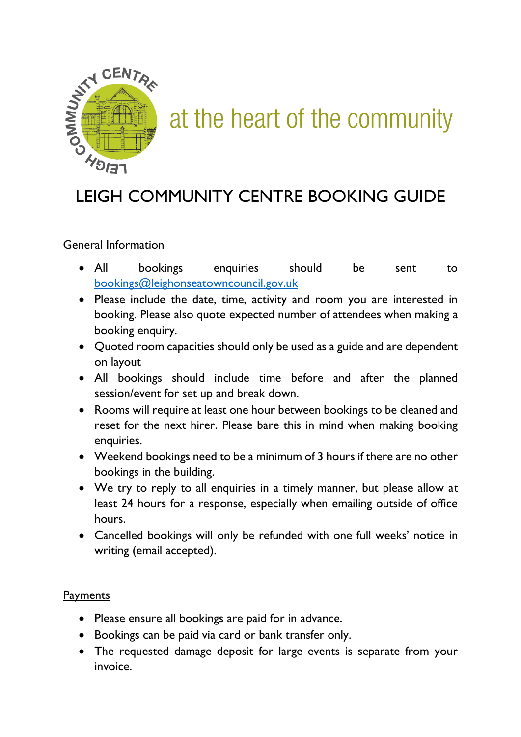

# at the heart of the community

## LEIGH COMMUNITY CENTRE BOOKING GUIDE

### General Information

- All bookings enquiries should be sent to [bookings@leighonseatowncouncil.gov.uk](mailto:bookings@leighonseatowncouncil.gov.uk)
- Please include the date, time, activity and room you are interested in booking. Please also quote expected number of attendees when making a booking enquiry.
- Quoted room capacities should only be used as a guide and are dependent on layout
- All bookings should include time before and after the planned session/event for set up and break down.
- Rooms will require at least one hour between bookings to be cleaned and reset for the next hirer. Please bare this in mind when making booking enquiries.
- Weekend bookings need to be a minimum of 3 hours if there are no other bookings in the building.
- We try to reply to all enquiries in a timely manner, but please allow at least 24 hours for a response, especially when emailing outside of office hours.
- Cancelled bookings will only be refunded with one full weeks' notice in writing (email accepted).

### Payments

- Please ensure all bookings are paid for in advance.
- Bookings can be paid via card or bank transfer only.
- The requested damage deposit for large events is separate from your invoice.